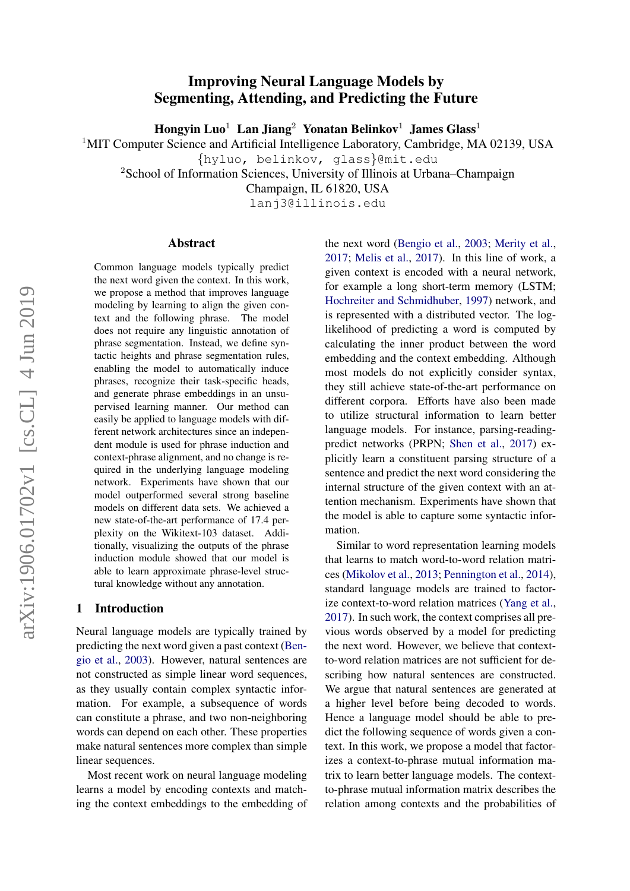# Improving Neural Language Models by Segmenting, Attending, and Predicting the Future

Hongyin Luo<sup>1</sup> Lan Jiang<sup>2</sup> Yonatan Belinkov<sup>1</sup> James Glass<sup>1</sup>

<sup>1</sup>MIT Computer Science and Artificial Intelligence Laboratory, Cambridge, MA 02139, USA

{hyluo, belinkov, glass}@mit.edu

<sup>2</sup>School of Information Sciences, University of Illinois at Urbana–Champaign

Champaign, IL 61820, USA

lanj3@illinois.edu

#### Abstract

Common language models typically predict the next word given the context. In this work, we propose a method that improves language modeling by learning to align the given context and the following phrase. The model does not require any linguistic annotation of phrase segmentation. Instead, we define syntactic heights and phrase segmentation rules, enabling the model to automatically induce phrases, recognize their task-specific heads, and generate phrase embeddings in an unsupervised learning manner. Our method can easily be applied to language models with different network architectures since an independent module is used for phrase induction and context-phrase alignment, and no change is required in the underlying language modeling network. Experiments have shown that our model outperformed several strong baseline models on different data sets. We achieved a new state-of-the-art performance of 17.4 perplexity on the Wikitext-103 dataset. Additionally, visualizing the outputs of the phrase induction module showed that our model is able to learn approximate phrase-level structural knowledge without any annotation.

#### 1 Introduction

Neural language models are typically trained by predicting the next word given a past context [\(Ben](#page-8-0)[gio et al.,](#page-8-0) [2003\)](#page-8-0). However, natural sentences are not constructed as simple linear word sequences, as they usually contain complex syntactic information. For example, a subsequence of words can constitute a phrase, and two non-neighboring words can depend on each other. These properties make natural sentences more complex than simple linear sequences.

Most recent work on neural language modeling learns a model by encoding contexts and matching the context embeddings to the embedding of the next word [\(Bengio et al.,](#page-8-0) [2003;](#page-8-0) [Merity et al.,](#page-9-0) [2017;](#page-9-0) [Melis et al.,](#page-9-1) [2017\)](#page-9-1). In this line of work, a given context is encoded with a neural network, for example a long short-term memory (LSTM; [Hochreiter and Schmidhuber,](#page-9-2) [1997\)](#page-9-2) network, and is represented with a distributed vector. The loglikelihood of predicting a word is computed by calculating the inner product between the word embedding and the context embedding. Although most models do not explicitly consider syntax, they still achieve state-of-the-art performance on different corpora. Efforts have also been made to utilize structural information to learn better language models. For instance, parsing-readingpredict networks (PRPN; [Shen et al.,](#page-9-3) [2017\)](#page-9-3) explicitly learn a constituent parsing structure of a sentence and predict the next word considering the internal structure of the given context with an attention mechanism. Experiments have shown that the model is able to capture some syntactic information.

Similar to word representation learning models that learns to match word-to-word relation matrices [\(Mikolov et al.,](#page-9-4) [2013;](#page-9-4) [Pennington et al.,](#page-9-5) [2014\)](#page-9-5), standard language models are trained to factorize context-to-word relation matrices [\(Yang et al.,](#page-9-6) [2017\)](#page-9-6). In such work, the context comprises all previous words observed by a model for predicting the next word. However, we believe that contextto-word relation matrices are not sufficient for describing how natural sentences are constructed. We argue that natural sentences are generated at a higher level before being decoded to words. Hence a language model should be able to predict the following sequence of words given a context. In this work, we propose a model that factorizes a context-to-phrase mutual information matrix to learn better language models. The contextto-phrase mutual information matrix describes the relation among contexts and the probabilities of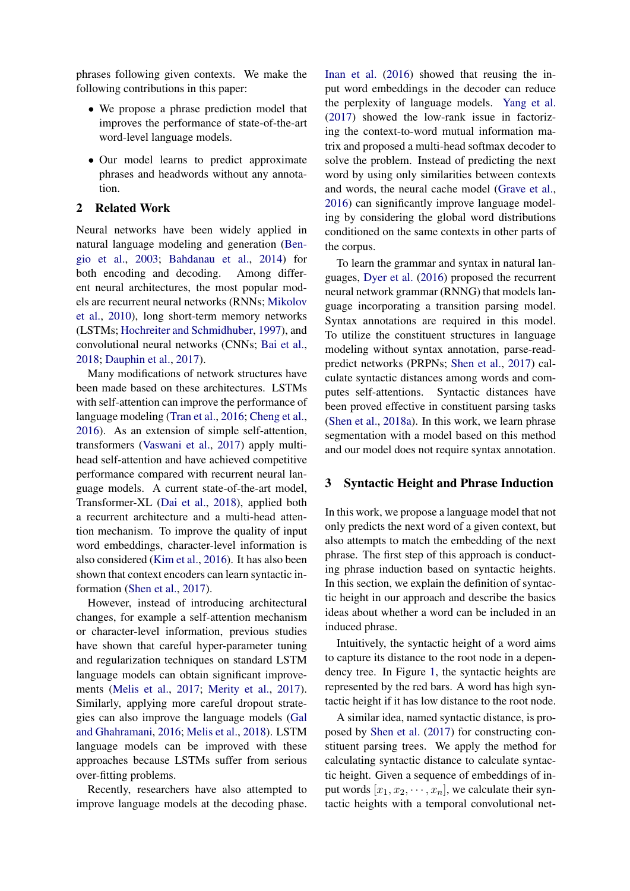phrases following given contexts. We make the following contributions in this paper:

- We propose a phrase prediction model that improves the performance of state-of-the-art word-level language models.
- Our model learns to predict approximate phrases and headwords without any annotation.

# 2 Related Work

Neural networks have been widely applied in natural language modeling and generation [\(Ben](#page-8-0)[gio et al.,](#page-8-0) [2003;](#page-8-0) [Bahdanau et al.,](#page-8-1) [2014\)](#page-8-1) for both encoding and decoding. Among different neural architectures, the most popular models are recurrent neural networks (RNNs; [Mikolov](#page-9-7) [et al.,](#page-9-7) [2010\)](#page-9-7), long short-term memory networks (LSTMs; [Hochreiter and Schmidhuber,](#page-9-2) [1997\)](#page-9-2), and convolutional neural networks (CNNs; [Bai et al.,](#page-8-2) [2018;](#page-8-2) [Dauphin et al.,](#page-9-8) [2017\)](#page-9-8).

Many modifications of network structures have been made based on these architectures. LSTMs with self-attention can improve the performance of language modeling [\(Tran et al.,](#page-9-9) [2016;](#page-9-9) [Cheng et al.,](#page-8-3) [2016\)](#page-8-3). As an extension of simple self-attention, transformers [\(Vaswani et al.,](#page-9-10) [2017\)](#page-9-10) apply multihead self-attention and have achieved competitive performance compared with recurrent neural language models. A current state-of-the-art model, Transformer-XL [\(Dai et al.,](#page-9-11) [2018\)](#page-9-11), applied both a recurrent architecture and a multi-head attention mechanism. To improve the quality of input word embeddings, character-level information is also considered [\(Kim et al.,](#page-9-12) [2016\)](#page-9-12). It has also been shown that context encoders can learn syntactic information [\(Shen et al.,](#page-9-3) [2017\)](#page-9-3).

However, instead of introducing architectural changes, for example a self-attention mechanism or character-level information, previous studies have shown that careful hyper-parameter tuning and regularization techniques on standard LSTM language models can obtain significant improvements [\(Melis et al.,](#page-9-1) [2017;](#page-9-1) [Merity et al.,](#page-9-0) [2017\)](#page-9-0). Similarly, applying more careful dropout strategies can also improve the language models [\(Gal](#page-9-13) [and Ghahramani,](#page-9-13) [2016;](#page-9-13) [Melis et al.,](#page-9-14) [2018\)](#page-9-14). LSTM language models can be improved with these approaches because LSTMs suffer from serious over-fitting problems.

Recently, researchers have also attempted to improve language models at the decoding phase.

[Inan et al.](#page-9-15) [\(2016\)](#page-9-15) showed that reusing the input word embeddings in the decoder can reduce the perplexity of language models. [Yang et al.](#page-9-6) [\(2017\)](#page-9-6) showed the low-rank issue in factorizing the context-to-word mutual information matrix and proposed a multi-head softmax decoder to solve the problem. Instead of predicting the next word by using only similarities between contexts and words, the neural cache model [\(Grave et al.,](#page-9-16) [2016\)](#page-9-16) can significantly improve language modeling by considering the global word distributions conditioned on the same contexts in other parts of the corpus.

To learn the grammar and syntax in natural languages, [Dyer et al.](#page-9-17) [\(2016\)](#page-9-17) proposed the recurrent neural network grammar (RNNG) that models language incorporating a transition parsing model. Syntax annotations are required in this model. To utilize the constituent structures in language modeling without syntax annotation, parse-readpredict networks (PRPNs; [Shen et al.,](#page-9-3) [2017\)](#page-9-3) calculate syntactic distances among words and computes self-attentions. Syntactic distances have been proved effective in constituent parsing tasks [\(Shen et al.,](#page-9-18) [2018a\)](#page-9-18). In this work, we learn phrase segmentation with a model based on this method and our model does not require syntax annotation.

#### <span id="page-1-0"></span>3 Syntactic Height and Phrase Induction

In this work, we propose a language model that not only predicts the next word of a given context, but also attempts to match the embedding of the next phrase. The first step of this approach is conducting phrase induction based on syntactic heights. In this section, we explain the definition of syntactic height in our approach and describe the basics ideas about whether a word can be included in an induced phrase.

Intuitively, the syntactic height of a word aims to capture its distance to the root node in a dependency tree. In Figure [1,](#page-2-0) the syntactic heights are represented by the red bars. A word has high syntactic height if it has low distance to the root node.

A similar idea, named syntactic distance, is proposed by [Shen et al.](#page-9-3) [\(2017\)](#page-9-3) for constructing constituent parsing trees. We apply the method for calculating syntactic distance to calculate syntactic height. Given a sequence of embeddings of input words  $[x_1, x_2, \dots, x_n]$ , we calculate their syntactic heights with a temporal convolutional net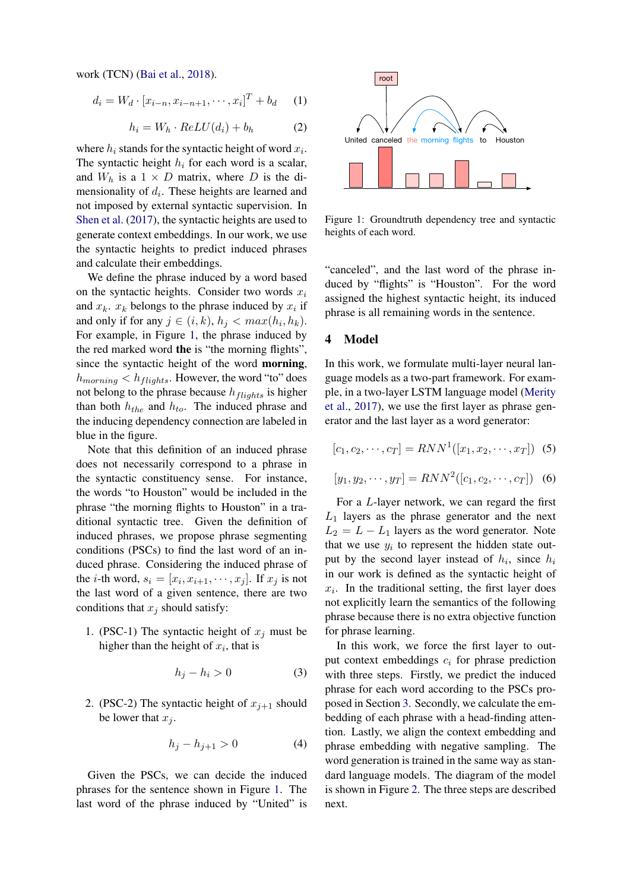work (TCN) [\(Bai et al.,](#page-8-2) [2018\)](#page-8-2).

$$
d_i = W_d \cdot [x_{i-n}, x_{i-n+1}, \cdots, x_i]^T + b_d \quad (1)
$$

$$
h_i = W_h \cdot ReLU(d_i) + b_h \tag{2}
$$

where  $h_i$  stands for the syntactic height of word  $x_i$ . The syntactic height  $h_i$  for each word is a scalar, and  $W_h$  is a  $1 \times D$  matrix, where D is the dimensionality of  $d_i$ . These heights are learned and not imposed by external syntactic supervision. In [Shen et al.](#page-9-3) [\(2017\)](#page-9-3), the syntactic heights are used to generate context embeddings. In our work, we use the syntactic heights to predict induced phrases and calculate their embeddings.

We define the phrase induced by a word based on the syntactic heights. Consider two words  $x_i$ and  $x_k$ .  $x_k$  belongs to the phrase induced by  $x_i$  if and only if for any  $j \in (i,k)$ ,  $h_j < max(h_i, h_k)$ . For example, in Figure [1,](#page-2-0) the phrase induced by the red marked word the is "the morning flights", since the syntactic height of the word morning,  $h_{morning} < h_{flights}$ . However, the word "to" does not belong to the phrase because  $h_{flights}$  is higher than both  $h_{the}$  and  $h_{to}$ . The induced phrase and the inducing dependency connection are labeled in blue in the figure.

Note that this definition of an induced phrase does not necessarily correspond to a phrase in the syntactic constituency sense. For instance, the words "to Houston" would be included in the phrase "the morning flights to Houston" in a traditional syntactic tree. Given the definition of induced phrases, we propose phrase segmenting conditions (PSCs) to find the last word of an induced phrase. Considering the induced phrase of the *i*-th word,  $s_i = [x_i, x_{i+1}, \dots, x_j]$ . If  $x_j$  is not the last word of a given sentence, there are two conditions that  $x_i$  should satisfy:

1. (PSC-1) The syntactic height of  $x_i$  must be higher than the height of  $x_i$ , that is

$$
h_j - h_i > 0 \tag{3}
$$

2. (PSC-2) The syntactic height of  $x_{i+1}$  should be lower that  $x_i$ .

$$
h_j - h_{j+1} > 0 \tag{4}
$$

Given the PSCs, we can decide the induced phrases for the sentence shown in Figure [1.](#page-2-0) The last word of the phrase induced by "United" is

<span id="page-2-0"></span>

Figure 1: Groundtruth dependency tree and syntactic heights of each word.

"canceled", and the last word of the phrase induced by "flights" is "Houston". For the word assigned the highest syntactic height, its induced phrase is all remaining words in the sentence.

#### 4 Model

In this work, we formulate multi-layer neural language models as a two-part framework. For example, in a two-layer LSTM language model [\(Merity](#page-9-0) [et al.,](#page-9-0) [2017\)](#page-9-0), we use the first layer as phrase generator and the last layer as a word generator:

<span id="page-2-1"></span>
$$
[c_1, c_2, \cdots, c_T] = RNN^1([x_1, x_2, \cdots, x_T]) \tag{5}
$$

$$
[y_1, y_2, \cdots, y_T] = RNN^2([c_1, c_2, \cdots, c_T]) \quad (6)
$$

For a L-layer network, we can regard the first  $L_1$  layers as the phrase generator and the next  $L_2 = L - L_1$  layers as the word generator. Note that we use  $y_i$  to represent the hidden state output by the second layer instead of  $h_i$ , since  $h_i$ in our work is defined as the syntactic height of  $x_i$ . In the traditional setting, the first layer does not explicitly learn the semantics of the following phrase because there is no extra objective function for phrase learning.

In this work, we force the first layer to output context embeddings  $c_i$  for phrase prediction with three steps. Firstly, we predict the induced phrase for each word according to the PSCs proposed in Section [3.](#page-1-0) Secondly, we calculate the embedding of each phrase with a head-finding attention. Lastly, we align the context embedding and phrase embedding with negative sampling. The word generation is trained in the same way as standard language models. The diagram of the model is shown in Figure [2.](#page-3-0) The three steps are described next.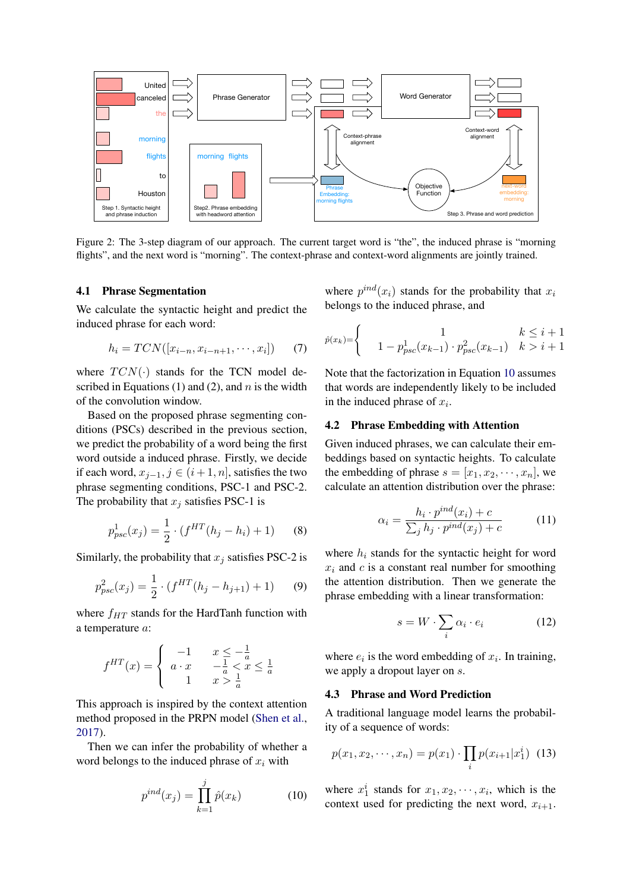<span id="page-3-0"></span>

Figure 2: The 3-step diagram of our approach. The current target word is "the", the induced phrase is "morning flights", and the next word is "morning". The context-phrase and context-word alignments are jointly trained.

#### 4.1 Phrase Segmentation

We calculate the syntactic height and predict the induced phrase for each word:

$$
h_i = TCN([x_{i-n}, x_{i-n+1}, \cdots, x_i]) \qquad (7)
$$

where  $TCN(\cdot)$  stands for the TCN model described in Equations (1) and (2), and  $n$  is the width of the convolution window.

Based on the proposed phrase segmenting conditions (PSCs) described in the previous section, we predict the probability of a word being the first word outside a induced phrase. Firstly, we decide if each word,  $x_{j-1}$ ,  $j \in (i+1, n]$ , satisfies the two phrase segmenting conditions, PSC-1 and PSC-2. The probability that  $x_i$  satisfies PSC-1 is

<span id="page-3-2"></span>
$$
p_{psc}^1(x_j) = \frac{1}{2} \cdot (f^{HT}(h_j - h_i) + 1)
$$
 (8)

Similarly, the probability that  $x_j$  satisfies PSC-2 is

$$
p_{psc}^2(x_j) = \frac{1}{2} \cdot (f^{HT}(h_j - h_{j+1}) + 1) \tag{9}
$$

where  $f_{HT}$  stands for the HardTanh function with a temperature a:

$$
f^{HT}(x) = \begin{cases} -1 & x \le -\frac{1}{a} \\ a \cdot x & -\frac{1}{a} < x \le \frac{1}{a} \\ 1 & x > \frac{1}{a} \end{cases}
$$

This approach is inspired by the context attention method proposed in the PRPN model [\(Shen et al.,](#page-9-3) [2017\)](#page-9-3).

Then we can infer the probability of whether a word belongs to the induced phrase of  $x_i$  with

<span id="page-3-1"></span>
$$
p^{ind}(x_j) = \prod_{k=1}^j \hat{p}(x_k)
$$
 (10)

where  $p^{ind}(x_i)$  stands for the probability that  $x_i$ belongs to the induced phrase, and

$$
\hat{p}(x_k) = \begin{cases}\n1 & k \leq i+1 \\
1 - p_{psc}^1(x_{k-1}) \cdot p_{psc}^2(x_{k-1}) & k > i+1\n\end{cases}
$$

Note that the factorization in Equation [10](#page-3-1) assumes that words are independently likely to be included in the induced phrase of  $x_i$ .

#### 4.2 Phrase Embedding with Attention

Given induced phrases, we can calculate their embeddings based on syntactic heights. To calculate the embedding of phrase  $s = [x_1, x_2, \dots, x_n]$ , we calculate an attention distribution over the phrase:

<span id="page-3-3"></span>
$$
\alpha_i = \frac{h_i \cdot p^{ind}(x_i) + c}{\sum_j h_j \cdot p^{ind}(x_j) + c} \tag{11}
$$

where  $h_i$  stands for the syntactic height for word  $x_i$  and  $c$  is a constant real number for smoothing the attention distribution. Then we generate the phrase embedding with a linear transformation:

$$
s = W \cdot \sum_{i} \alpha_i \cdot e_i \tag{12}
$$

where  $e_i$  is the word embedding of  $x_i$ . In training, we apply a dropout layer on s.

#### 4.3 Phrase and Word Prediction

A traditional language model learns the probability of a sequence of words:

$$
p(x_1, x_2, \cdots, x_n) = p(x_1) \cdot \prod_i p(x_{i+1} | x_1^i) \tag{13}
$$

where  $x_1^i$  stands for  $x_1, x_2, \dots, x_i$ , which is the context used for predicting the next word,  $x_{i+1}$ .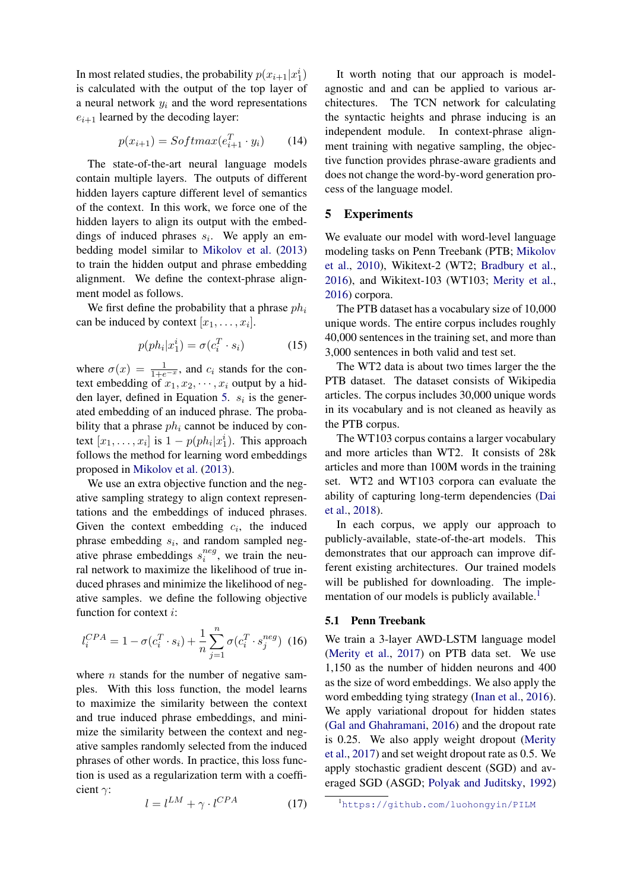In most related studies, the probability  $p(x_{i+1} | x_1^i)$ is calculated with the output of the top layer of a neural network  $y_i$  and the word representations  $e_{i+1}$  learned by the decoding layer:

$$
p(x_{i+1}) = Softmax(e_{i+1}^T \cdot y_i)
$$
 (14)

The state-of-the-art neural language models contain multiple layers. The outputs of different hidden layers capture different level of semantics of the context. In this work, we force one of the hidden layers to align its output with the embeddings of induced phrases  $s_i$ . We apply an embedding model similar to [Mikolov et al.](#page-9-4) [\(2013\)](#page-9-4) to train the hidden output and phrase embedding alignment. We define the context-phrase alignment model as follows.

We first define the probability that a phrase  $ph<sub>i</sub>$ can be induced by context  $[x_1, \ldots, x_i]$ .

$$
p(ph_i|x_1^i) = \sigma(c_i^T \cdot s_i)
$$
 (15)

where  $\sigma(x) = \frac{1}{1+e^{-x}}$ , and  $c_i$  stands for the context embedding of  $x_1, x_2, \dots, x_i$  output by a hid-den layer, defined in Equation [5.](#page-2-1)  $s_i$  is the generated embedding of an induced phrase. The probability that a phrase  $ph<sub>i</sub>$  cannot be induced by context  $[x_1, \ldots, x_i]$  is  $1 - p(ph_i|x_1^i)$ . This approach follows the method for learning word embeddings proposed in [Mikolov et al.](#page-9-4) [\(2013\)](#page-9-4).

We use an extra objective function and the negative sampling strategy to align context representations and the embeddings of induced phrases. Given the context embedding  $c_i$ , the induced phrase embedding  $s_i$ , and random sampled negative phrase embeddings  $s_i^{neg}$  $i^{neg}$ , we train the neural network to maximize the likelihood of true induced phrases and minimize the likelihood of negative samples. we define the following objective function for context i:

$$
l_i^{CPA} = 1 - \sigma(c_i^T \cdot s_i) + \frac{1}{n} \sum_{j=1}^n \sigma(c_i^T \cdot s_j^{neg}) \tag{16}
$$

where  $n$  stands for the number of negative samples. With this loss function, the model learns to maximize the similarity between the context and true induced phrase embeddings, and minimize the similarity between the context and negative samples randomly selected from the induced phrases of other words. In practice, this loss function is used as a regularization term with a coefficient γ:

$$
l = l^{LM} + \gamma \cdot l^{CPA} \tag{17}
$$

It worth noting that our approach is modelagnostic and and can be applied to various architectures. The TCN network for calculating the syntactic heights and phrase inducing is an independent module. In context-phrase alignment training with negative sampling, the objective function provides phrase-aware gradients and does not change the word-by-word generation process of the language model.

# 5 Experiments

We evaluate our model with word-level language modeling tasks on Penn Treebank (PTB; [Mikolov](#page-9-7) [et al.,](#page-9-7) [2010\)](#page-9-7), Wikitext-2 (WT2; [Bradbury et al.,](#page-8-4) [2016\)](#page-8-4), and Wikitext-103 (WT103; [Merity et al.,](#page-9-19) [2016\)](#page-9-19) corpora.

The PTB dataset has a vocabulary size of 10,000 unique words. The entire corpus includes roughly 40,000 sentences in the training set, and more than 3,000 sentences in both valid and test set.

The WT2 data is about two times larger the the PTB dataset. The dataset consists of Wikipedia articles. The corpus includes 30,000 unique words in its vocabulary and is not cleaned as heavily as the PTB corpus.

The WT103 corpus contains a larger vocabulary and more articles than WT2. It consists of 28k articles and more than 100M words in the training set. WT2 and WT103 corpora can evaluate the ability of capturing long-term dependencies [\(Dai](#page-9-11) [et al.,](#page-9-11) [2018\)](#page-9-11).

In each corpus, we apply our approach to publicly-available, state-of-the-art models. This demonstrates that our approach can improve different existing architectures. Our trained models will be published for downloading. The imple-mentation of our models is publicly available.<sup>[1](#page-4-0)</sup>

### 5.1 Penn Treebank

We train a 3-layer AWD-LSTM language model [\(Merity et al.,](#page-9-0) [2017\)](#page-9-0) on PTB data set. We use 1,150 as the number of hidden neurons and 400 as the size of word embeddings. We also apply the word embedding tying strategy [\(Inan et al.,](#page-9-15) [2016\)](#page-9-15). We apply variational dropout for hidden states [\(Gal and Ghahramani,](#page-9-13) [2016\)](#page-9-13) and the dropout rate is 0.25. We also apply weight dropout [\(Merity](#page-9-0) [et al.,](#page-9-0) [2017\)](#page-9-0) and set weight dropout rate as 0.5. We apply stochastic gradient descent (SGD) and averaged SGD (ASGD; [Polyak and Juditsky,](#page-9-20) [1992\)](#page-9-20)

<span id="page-4-0"></span><sup>1</sup><https://github.com/luohongyin/PILM>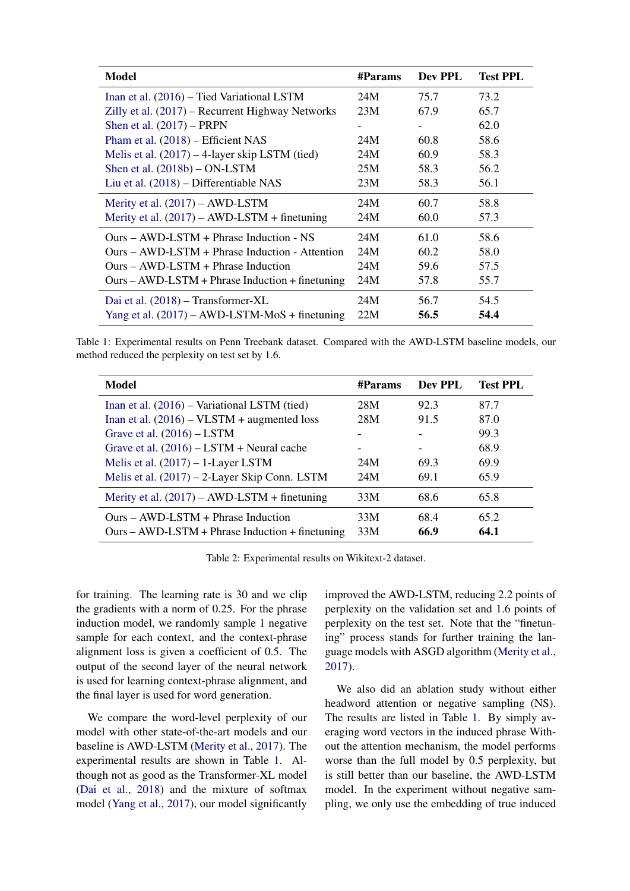<span id="page-5-0"></span>

| <b>Model</b>                                      | #Params | Dev PPL | <b>Test PPL</b> |
|---------------------------------------------------|---------|---------|-----------------|
| Inan et al. (2016) – Tied Variational LSTM        | 24M     | 75.7    | 73.2            |
| Zilly et al. (2017) – Recurrent Highway Networks  | 23M     | 67.9    | 65.7            |
| Shen et al. $(2017)$ – PRPN                       |         |         | 62.0            |
| Pham et al. (2018) – Efficient NAS                | 24M     | 60.8    | 58.6            |
| Melis et al. $(2017) - 4$ -layer skip LSTM (tied) | 24M     | 60.9    | 58.3            |
| Shen et al. $(2018b) - ON$ -LSTM                  | 25M     | 58.3    | 56.2            |
| Liu et al. (2018) – Differentiable NAS            | 23M     | 58.3    | 56.1            |
| Merity et al. $(2017) - AWD$ -LSTM                | 24M     | 60.7    | 58.8            |
| Merity et al. $(2017)$ – AWD-LSTM + finetuning    | 24M     | 60.0    | 57.3            |
| $Ours - AWD$ -LSTM + Phrase Induction - NS        | 24M     | 61.0    | 58.6            |
| $Ours - AWD$ -LSTM + Phrase Induction - Attention | 24M     | 60.2    | 58.0            |
| $Ours - AWD$ -LSTM + Phrase Induction             | 24M     | 59.6    | 57.5            |
| $Ours - AWD-LSTM + Phrase Induction + finetuning$ | 24M     | 57.8    | 55.7            |
| Dai et al. (2018) – Transformer-XL                | 24M     | 56.7    | 54.5            |
| Yang et al. $(2017)$ – AWD-LSTM-MoS + finetuning  | 22M     | 56.5    | 54.4            |

Table 1: Experimental results on Penn Treebank dataset. Compared with the AWD-LSTM baseline models, our method reduced the perplexity on test set by 1.6.

<span id="page-5-1"></span>

| <b>Model</b>                                      | #Params | Dev PPL | <b>Test PPL</b> |
|---------------------------------------------------|---------|---------|-----------------|
| Inan et al. (2016) – Variational LSTM (tied)      | 28M     | 92.3    | 87.7            |
| Inan et al. $(2016)$ – VLSTM + augmented loss     | 28M     | 91.5    | 87.0            |
| Grave et al. $(2016)$ – LSTM                      |         |         | 99.3            |
| Grave et al. $(2016)$ – LSTM + Neural cache       |         |         | 68.9            |
| Melis et al. $(2017) - 1$ -Layer LSTM             | 24M     | 69.3    | 69.9            |
| Melis et al. (2017) – 2-Layer Skip Conn. LSTM     | 24M     | 69.1    | 65.9            |
| Merity et al. $(2017)$ – AWD-LSTM + finetuning    | 33M     | 68.6    | 65.8            |
| $Ours - AWD-LSTM + Phrase Induction$              | 33M     | 68.4    | 65.2            |
| $Ours - AWD-LSTM + Phrase Induction + finetuning$ | 33M     | 66.9    | 64.1            |

Table 2: Experimental results on Wikitext-2 dataset.

for training. The learning rate is 30 and we clip the gradients with a norm of 0.25. For the phrase induction model, we randomly sample 1 negative sample for each context, and the context-phrase alignment loss is given a coefficient of 0.5. The output of the second layer of the neural network is used for learning context-phrase alignment, and the final layer is used for word generation.

We compare the word-level perplexity of our model with other state-of-the-art models and our baseline is AWD-LSTM [\(Merity et al.,](#page-9-0) [2017\)](#page-9-0). The experimental results are shown in Table [1.](#page-5-0) Although not as good as the Transformer-XL model [\(Dai et al.,](#page-9-11) [2018\)](#page-9-11) and the mixture of softmax model [\(Yang et al.,](#page-9-6) [2017\)](#page-9-6), our model significantly improved the AWD-LSTM, reducing 2.2 points of perplexity on the validation set and 1.6 points of perplexity on the test set. Note that the "finetuning" process stands for further training the language models with ASGD algorithm [\(Merity et al.,](#page-9-0) [2017\)](#page-9-0).

We also did an ablation study without either headword attention or negative sampling (NS). The results are listed in Table [1.](#page-5-0) By simply averaging word vectors in the induced phrase Without the attention mechanism, the model performs worse than the full model by 0.5 perplexity, but is still better than our baseline, the AWD-LSTM model. In the experiment without negative sampling, we only use the embedding of true induced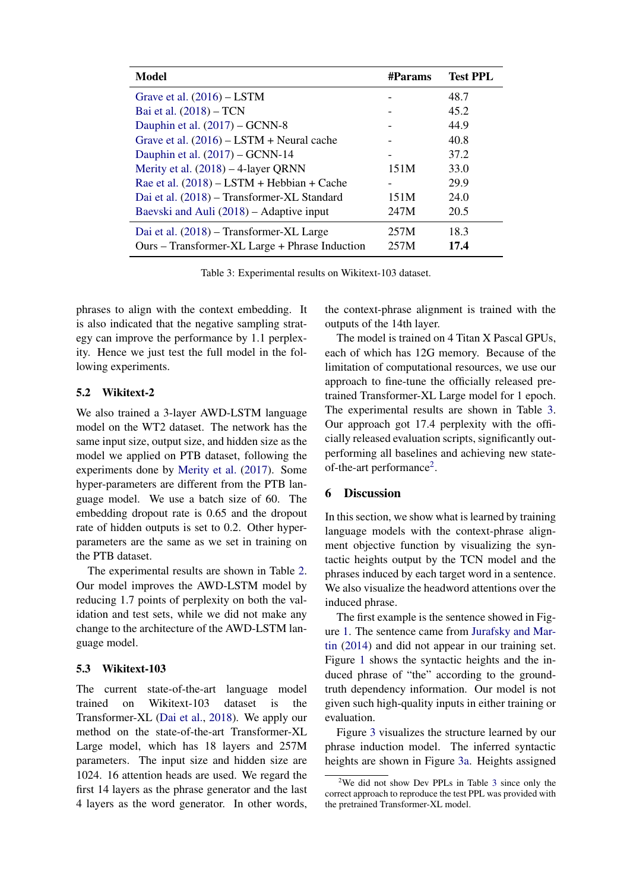<span id="page-6-0"></span>

| <b>Model</b>                                   | <b>#Params</b> | <b>Test PPL</b> |
|------------------------------------------------|----------------|-----------------|
| Grave et al. $(2016)$ – LSTM                   |                | 48.7            |
| Bai et al. (2018) – TCN                        |                | 45.2            |
| Dauphin et al. $(2017)$ – GCNN-8               |                | 44.9            |
| Grave et al. $(2016)$ – LSTM + Neural cache    |                | 40.8            |
| Dauphin et al. $(2017)$ – GCNN-14              |                | 37.2            |
| Merity et al. $(2018) - 4$ -layer QRNN         | 151M           | 33.0            |
| Rae et al. $(2018)$ – LSTM + Hebbian + Cache   |                | 29.9            |
| Dai et al. (2018) – Transformer-XL Standard    | 151M           | 24.0            |
| Baevski and Auli (2018) – Adaptive input       | 247M           | 20.5            |
| Dai et al. (2018) – Transformer-XL Large       | 257M           | 18.3            |
| Ours – Transformer-XL Large + Phrase Induction | 257M           | 17.4            |

Table 3: Experimental results on Wikitext-103 dataset.

phrases to align with the context embedding. It is also indicated that the negative sampling strategy can improve the performance by 1.1 perplexity. Hence we just test the full model in the following experiments.

# 5.2 Wikitext-2

We also trained a 3-layer AWD-LSTM language model on the WT2 dataset. The network has the same input size, output size, and hidden size as the model we applied on PTB dataset, following the experiments done by [Merity et al.](#page-9-0) [\(2017\)](#page-9-0). Some hyper-parameters are different from the PTB language model. We use a batch size of 60. The embedding dropout rate is 0.65 and the dropout rate of hidden outputs is set to 0.2. Other hyperparameters are the same as we set in training on the PTB dataset.

The experimental results are shown in Table [2.](#page-5-1) Our model improves the AWD-LSTM model by reducing 1.7 points of perplexity on both the validation and test sets, while we did not make any change to the architecture of the AWD-LSTM language model.

# 5.3 Wikitext-103

The current state-of-the-art language model trained on Wikitext-103 dataset is the Transformer-XL [\(Dai et al.,](#page-9-11) [2018\)](#page-9-11). We apply our method on the state-of-the-art Transformer-XL Large model, which has 18 layers and 257M parameters. The input size and hidden size are 1024. 16 attention heads are used. We regard the first 14 layers as the phrase generator and the last 4 layers as the word generator. In other words, the context-phrase alignment is trained with the outputs of the 14th layer.

The model is trained on 4 Titan X Pascal GPUs, each of which has 12G memory. Because of the limitation of computational resources, we use our approach to fine-tune the officially released pretrained Transformer-XL Large model for 1 epoch. The experimental results are shown in Table [3.](#page-6-0) Our approach got 17.4 perplexity with the officially released evaluation scripts, significantly outperforming all baselines and achieving new state-of-the-art performance<sup>[2](#page-6-1)</sup>.

# 6 Discussion

In this section, we show what is learned by training language models with the context-phrase alignment objective function by visualizing the syntactic heights output by the TCN model and the phrases induced by each target word in a sentence. We also visualize the headword attentions over the induced phrase.

The first example is the sentence showed in Figure [1.](#page-2-0) The sentence came from [Jurafsky and Mar](#page-9-26)[tin](#page-9-26) [\(2014\)](#page-9-26) and did not appear in our training set. Figure [1](#page-2-0) shows the syntactic heights and the induced phrase of "the" according to the groundtruth dependency information. Our model is not given such high-quality inputs in either training or evaluation.

Figure [3](#page-7-0) visualizes the structure learned by our phrase induction model. The inferred syntactic heights are shown in Figure [3a.](#page-7-0) Heights assigned

<span id="page-6-1"></span><sup>&</sup>lt;sup>2</sup>We did not show Dev PPLs in Table [3](#page-6-0) since only the correct approach to reproduce the test PPL was provided with the pretrained Transformer-XL model.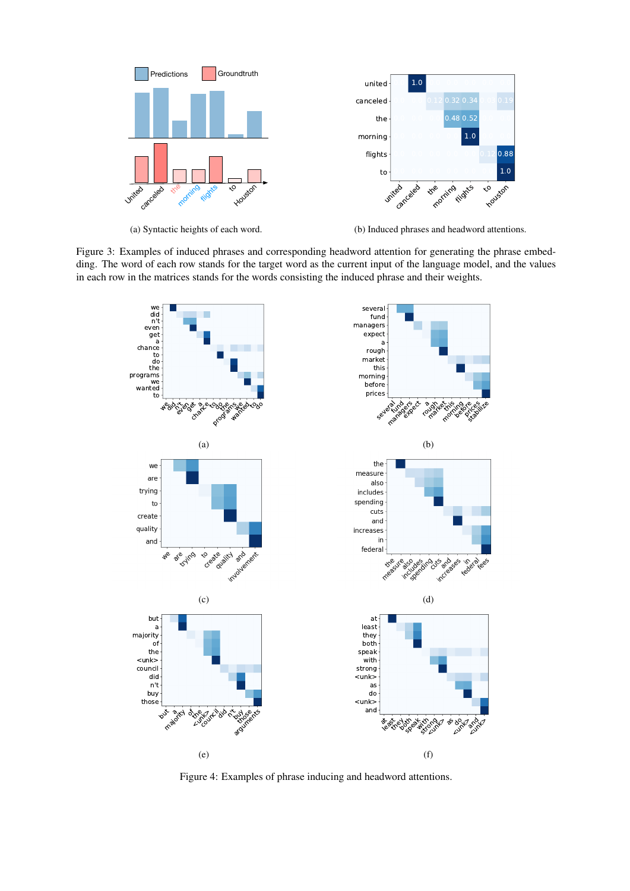<span id="page-7-0"></span>

(a) Syntactic heights of each word.

(b) Induced phrases and headword attentions.

<span id="page-7-1"></span>Figure 3: Examples of induced phrases and corresponding headword attention for generating the phrase embedding. The word of each row stands for the target word as the current input of the language model, and the values in each row in the matrices stands for the words consisting the induced phrase and their weights.



Figure 4: Examples of phrase inducing and headword attentions.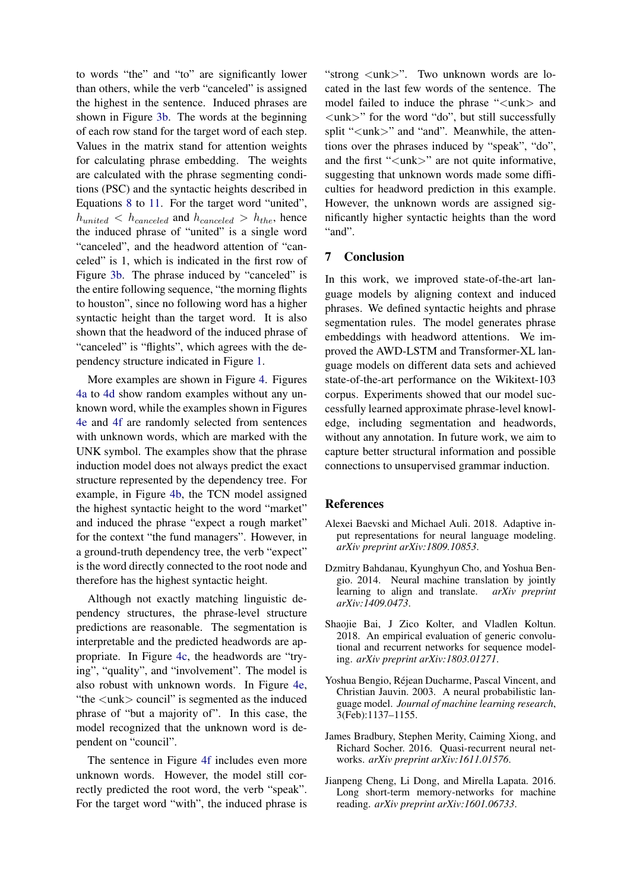to words "the" and "to" are significantly lower than others, while the verb "canceled" is assigned the highest in the sentence. Induced phrases are shown in Figure [3b.](#page-7-0) The words at the beginning of each row stand for the target word of each step. Values in the matrix stand for attention weights for calculating phrase embedding. The weights are calculated with the phrase segmenting conditions (PSC) and the syntactic heights described in Equations [8](#page-3-2) to [11.](#page-3-3) For the target word "united",  $h_{united} < h_{canceled}$  and  $h_{canceled} > h_{the}$ , hence the induced phrase of "united" is a single word "canceled", and the headword attention of "canceled" is 1, which is indicated in the first row of Figure [3b.](#page-7-0) The phrase induced by "canceled" is the entire following sequence, "the morning flights to houston", since no following word has a higher syntactic height than the target word. It is also shown that the headword of the induced phrase of "canceled" is "flights", which agrees with the dependency structure indicated in Figure [1.](#page-2-0)

More examples are shown in Figure [4.](#page-7-1) Figures [4a](#page-7-1) to [4d](#page-7-1) show random examples without any unknown word, while the examples shown in Figures [4e](#page-7-1) and [4f](#page-7-1) are randomly selected from sentences with unknown words, which are marked with the UNK symbol. The examples show that the phrase induction model does not always predict the exact structure represented by the dependency tree. For example, in Figure [4b,](#page-7-1) the TCN model assigned the highest syntactic height to the word "market" and induced the phrase "expect a rough market" for the context "the fund managers". However, in a ground-truth dependency tree, the verb "expect" is the word directly connected to the root node and therefore has the highest syntactic height.

Although not exactly matching linguistic dependency structures, the phrase-level structure predictions are reasonable. The segmentation is interpretable and the predicted headwords are appropriate. In Figure [4c,](#page-7-1) the headwords are "trying", "quality", and "involvement". The model is also robust with unknown words. In Figure [4e,](#page-7-1) "the <unk> council" is segmented as the induced phrase of "but a majority of". In this case, the model recognized that the unknown word is dependent on "council".

The sentence in Figure [4f](#page-7-1) includes even more unknown words. However, the model still correctly predicted the root word, the verb "speak". For the target word "with", the induced phrase is

"strong  $\langle$ unk $>$ ". Two unknown words are located in the last few words of the sentence. The model failed to induce the phrase "<unk> and <unk>" for the word "do", but still successfully split "<unk>" and "and". Meanwhile, the attentions over the phrases induced by "speak", "do", and the first "<unk>" are not quite informative, suggesting that unknown words made some difficulties for headword prediction in this example. However, the unknown words are assigned significantly higher syntactic heights than the word "and".

### 7 Conclusion

In this work, we improved state-of-the-art language models by aligning context and induced phrases. We defined syntactic heights and phrase segmentation rules. The model generates phrase embeddings with headword attentions. We improved the AWD-LSTM and Transformer-XL language models on different data sets and achieved state-of-the-art performance on the Wikitext-103 corpus. Experiments showed that our model successfully learned approximate phrase-level knowledge, including segmentation and headwords, without any annotation. In future work, we aim to capture better structural information and possible connections to unsupervised grammar induction.

#### **References**

- <span id="page-8-5"></span>Alexei Baevski and Michael Auli. 2018. Adaptive input representations for neural language modeling. *arXiv preprint arXiv:1809.10853*.
- <span id="page-8-1"></span>Dzmitry Bahdanau, Kyunghyun Cho, and Yoshua Bengio. 2014. Neural machine translation by jointly learning to align and translate. *arXiv preprint arXiv:1409.0473*.
- <span id="page-8-2"></span>Shaojie Bai, J Zico Kolter, and Vladlen Koltun. 2018. An empirical evaluation of generic convolutional and recurrent networks for sequence modeling. *arXiv preprint arXiv:1803.01271*.
- <span id="page-8-0"></span>Yoshua Bengio, Rejean Ducharme, Pascal Vincent, and ´ Christian Jauvin. 2003. A neural probabilistic language model. *Journal of machine learning research*, 3(Feb):1137–1155.
- <span id="page-8-4"></span>James Bradbury, Stephen Merity, Caiming Xiong, and Richard Socher. 2016. Quasi-recurrent neural networks. *arXiv preprint arXiv:1611.01576*.
- <span id="page-8-3"></span>Jianpeng Cheng, Li Dong, and Mirella Lapata. 2016. Long short-term memory-networks for machine reading. *arXiv preprint arXiv:1601.06733*.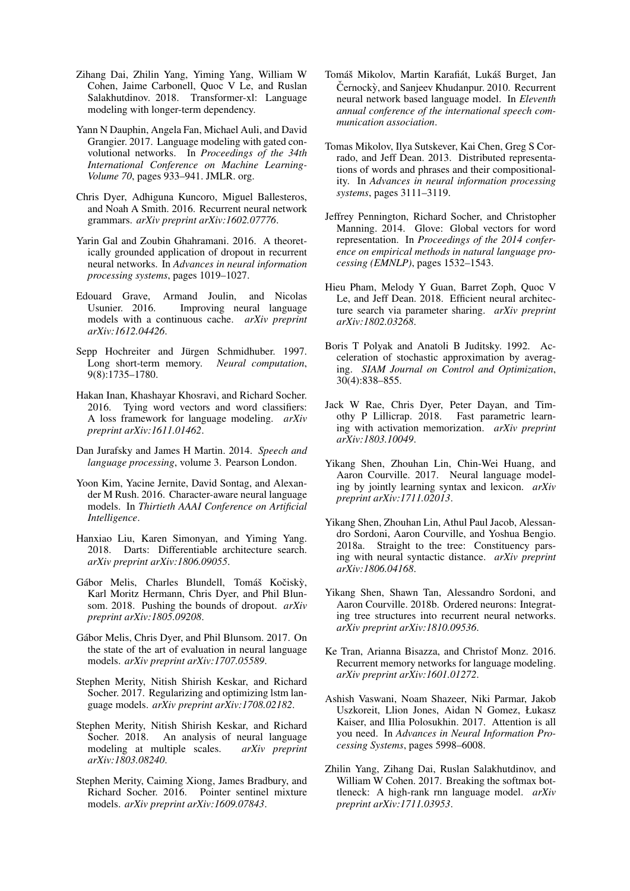- <span id="page-9-11"></span>Zihang Dai, Zhilin Yang, Yiming Yang, William W Cohen, Jaime Carbonell, Quoc V Le, and Ruslan Salakhutdinov. 2018. Transformer-xl: Language modeling with longer-term dependency.
- <span id="page-9-8"></span>Yann N Dauphin, Angela Fan, Michael Auli, and David Grangier. 2017. Language modeling with gated convolutional networks. In *Proceedings of the 34th International Conference on Machine Learning-Volume 70*, pages 933–941. JMLR. org.
- <span id="page-9-17"></span>Chris Dyer, Adhiguna Kuncoro, Miguel Ballesteros, and Noah A Smith. 2016. Recurrent neural network grammars. *arXiv preprint arXiv:1602.07776*.
- <span id="page-9-13"></span>Yarin Gal and Zoubin Ghahramani. 2016. A theoretically grounded application of dropout in recurrent neural networks. In *Advances in neural information processing systems*, pages 1019–1027.
- <span id="page-9-16"></span>Edouard Grave, Armand Joulin, and Nicolas<br>Usunier, 2016. Improving neural language Improving neural language models with a continuous cache. *arXiv preprint arXiv:1612.04426*.
- <span id="page-9-2"></span>Sepp Hochreiter and Jürgen Schmidhuber. 1997. Long short-term memory. *Neural computation*, 9(8):1735–1780.
- <span id="page-9-15"></span>Hakan Inan, Khashayar Khosravi, and Richard Socher. 2016. Tying word vectors and word classifiers: A loss framework for language modeling. *arXiv preprint arXiv:1611.01462*.
- <span id="page-9-26"></span>Dan Jurafsky and James H Martin. 2014. *Speech and language processing*, volume 3. Pearson London.
- <span id="page-9-12"></span>Yoon Kim, Yacine Jernite, David Sontag, and Alexander M Rush. 2016. Character-aware neural language models. In *Thirtieth AAAI Conference on Artificial Intelligence*.
- <span id="page-9-23"></span>Hanxiao Liu, Karen Simonyan, and Yiming Yang. 2018. Darts: Differentiable architecture search. *arXiv preprint arXiv:1806.09055*.
- <span id="page-9-14"></span>Gábor Melis, Charles Blundell, Tomáš Kočiský, Karl Moritz Hermann, Chris Dyer, and Phil Blunsom. 2018. Pushing the bounds of dropout. *arXiv preprint arXiv:1805.09208*.
- <span id="page-9-1"></span>Gábor Melis, Chris Dyer, and Phil Blunsom. 2017. On the state of the art of evaluation in neural language models. *arXiv preprint arXiv:1707.05589*.
- <span id="page-9-0"></span>Stephen Merity, Nitish Shirish Keskar, and Richard Socher. 2017. Regularizing and optimizing lstm language models. *arXiv preprint arXiv:1708.02182*.
- <span id="page-9-24"></span>Stephen Merity, Nitish Shirish Keskar, and Richard Socher. 2018. An analysis of neural language modeling at multiple scales. *arXiv preprint arXiv:1803.08240*.
- <span id="page-9-19"></span>Stephen Merity, Caiming Xiong, James Bradbury, and Richard Socher. 2016. Pointer sentinel mixture models. *arXiv preprint arXiv:1609.07843*.
- <span id="page-9-7"></span>Tomáš Mikolov, Martin Karafiát, Lukáš Burget, Jan Černockỳ, and Sanjeev Khudanpur. 2010. Recurrent neural network based language model. In *Eleventh annual conference of the international speech communication association*.
- <span id="page-9-4"></span>Tomas Mikolov, Ilya Sutskever, Kai Chen, Greg S Corrado, and Jeff Dean. 2013. Distributed representations of words and phrases and their compositionality. In *Advances in neural information processing systems*, pages 3111–3119.
- <span id="page-9-5"></span>Jeffrey Pennington, Richard Socher, and Christopher Manning. 2014. Glove: Global vectors for word representation. In *Proceedings of the 2014 conference on empirical methods in natural language processing (EMNLP)*, pages 1532–1543.
- <span id="page-9-21"></span>Hieu Pham, Melody Y Guan, Barret Zoph, Quoc V Le, and Jeff Dean. 2018. Efficient neural architecture search via parameter sharing. *arXiv preprint arXiv:1802.03268*.
- <span id="page-9-20"></span>Boris T Polyak and Anatoli B Juditsky. 1992. Acceleration of stochastic approximation by averaging. *SIAM Journal on Control and Optimization*, 30(4):838–855.
- <span id="page-9-25"></span>Jack W Rae, Chris Dyer, Peter Dayan, and Timothy P Lillicrap. 2018. Fast parametric learning with activation memorization. *arXiv preprint arXiv:1803.10049*.
- <span id="page-9-3"></span>Yikang Shen, Zhouhan Lin, Chin-Wei Huang, and Aaron Courville. 2017. Neural language modeling by jointly learning syntax and lexicon. *arXiv preprint arXiv:1711.02013*.
- <span id="page-9-18"></span>Yikang Shen, Zhouhan Lin, Athul Paul Jacob, Alessandro Sordoni, Aaron Courville, and Yoshua Bengio. 2018a. Straight to the tree: Constituency parsing with neural syntactic distance. *arXiv preprint arXiv:1806.04168*.
- <span id="page-9-22"></span>Yikang Shen, Shawn Tan, Alessandro Sordoni, and Aaron Courville. 2018b. Ordered neurons: Integrating tree structures into recurrent neural networks. *arXiv preprint arXiv:1810.09536*.
- <span id="page-9-9"></span>Ke Tran, Arianna Bisazza, and Christof Monz. 2016. Recurrent memory networks for language modeling. *arXiv preprint arXiv:1601.01272*.
- <span id="page-9-10"></span>Ashish Vaswani, Noam Shazeer, Niki Parmar, Jakob Uszkoreit, Llion Jones, Aidan N Gomez, Łukasz Kaiser, and Illia Polosukhin. 2017. Attention is all you need. In *Advances in Neural Information Processing Systems*, pages 5998–6008.
- <span id="page-9-6"></span>Zhilin Yang, Zihang Dai, Ruslan Salakhutdinov, and William W Cohen. 2017. Breaking the softmax bottleneck: A high-rank rnn language model. *arXiv preprint arXiv:1711.03953*.